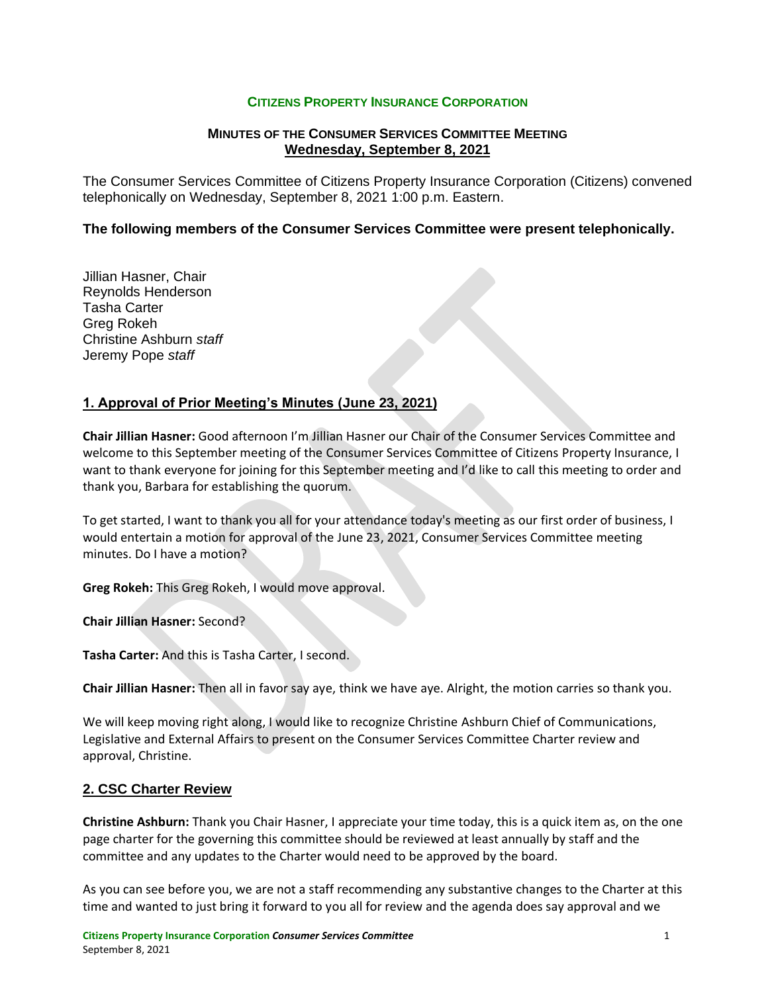## **CITIZENS PROPERTY INSURANCE CORPORATION**

## **MINUTES OF THE CONSUMER SERVICES COMMITTEE MEETING Wednesday, September 8, 2021**

The Consumer Services Committee of Citizens Property Insurance Corporation (Citizens) convened telephonically on Wednesday, September 8, 2021 1:00 p.m. Eastern.

### **The following members of the Consumer Services Committee were present telephonically.**

Jillian Hasner, Chair Reynolds Henderson Tasha Carter Greg Rokeh Christine Ashburn *staff* Jeremy Pope *staff*

# **1. Approval of Prior Meeting's Minutes (June 23, 2021)**

**Chair Jillian Hasner:** Good afternoon I'm Jillian Hasner our Chair of the Consumer Services Committee and welcome to this September meeting of the Consumer Services Committee of Citizens Property Insurance, I want to thank everyone for joining for this September meeting and I'd like to call this meeting to order and thank you, Barbara for establishing the quorum.

To get started, I want to thank you all for your attendance today's meeting as our first order of business, I would entertain a motion for approval of the June 23, 2021, Consumer Services Committee meeting minutes. Do I have a motion?

**Greg Rokeh:** This Greg Rokeh, I would move approval.

**Chair Jillian Hasner:** Second?

**Tasha Carter:** And this is Tasha Carter, I second.

**Chair Jillian Hasner:** Then all in favor say aye, think we have aye. Alright, the motion carries so thank you.

We will keep moving right along, I would like to recognize Christine Ashburn Chief of Communications, Legislative and External Affairs to present on the Consumer Services Committee Charter review and approval, Christine.

# **2. CSC Charter Review**

**Christine Ashburn:** Thank you Chair Hasner, I appreciate your time today, this is a quick item as, on the one page charter for the governing this committee should be reviewed at least annually by staff and the committee and any updates to the Charter would need to be approved by the board.

As you can see before you, we are not a staff recommending any substantive changes to the Charter at this time and wanted to just bring it forward to you all for review and the agenda does say approval and we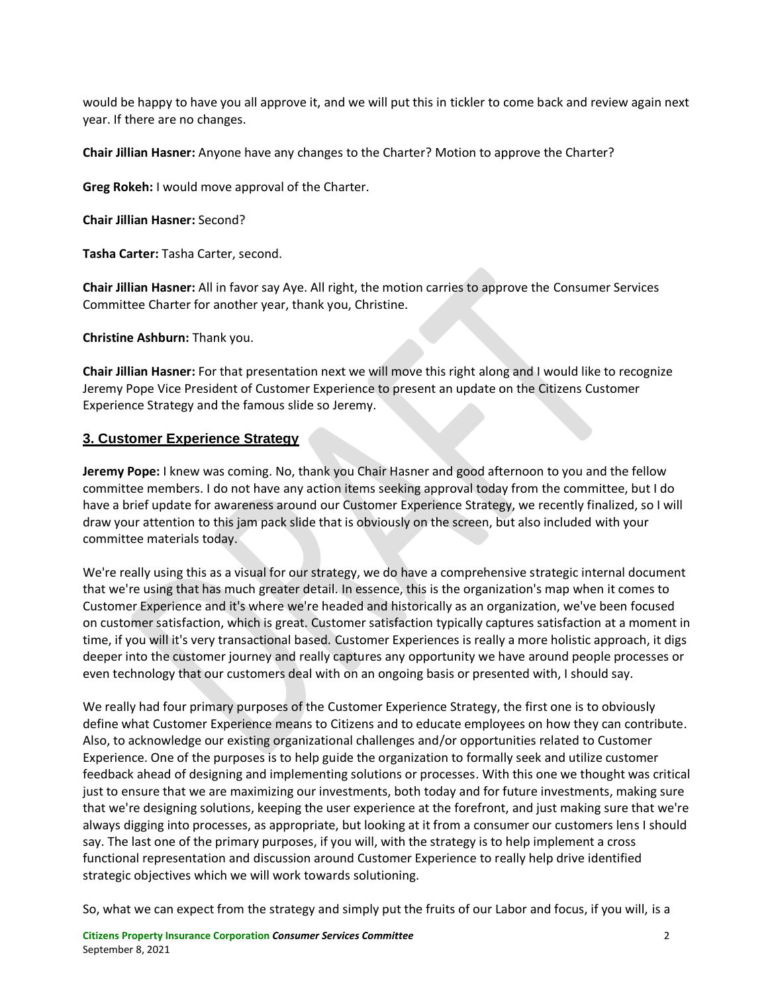would be happy to have you all approve it, and we will put this in tickler to come back and review again next year. If there are no changes.

**Chair Jillian Hasner:** Anyone have any changes to the Charter? Motion to approve the Charter?

**Greg Rokeh:** I would move approval of the Charter.

**Chair Jillian Hasner:** Second?

**Tasha Carter:** Tasha Carter, second.

**Chair Jillian Hasner:** All in favor say Aye. All right, the motion carries to approve the Consumer Services Committee Charter for another year, thank you, Christine.

**Christine Ashburn:** Thank you.

**Chair Jillian Hasner:** For that presentation next we will move this right along and I would like to recognize Jeremy Pope Vice President of Customer Experience to present an update on the Citizens Customer Experience Strategy and the famous slide so Jeremy.

# **3. Customer Experience Strategy**

**Jeremy Pope:** I knew was coming. No, thank you Chair Hasner and good afternoon to you and the fellow committee members. I do not have any action items seeking approval today from the committee, but I do have a brief update for awareness around our Customer Experience Strategy, we recently finalized, so I will draw your attention to this jam pack slide that is obviously on the screen, but also included with your committee materials today.

We're really using this as a visual for our strategy, we do have a comprehensive strategic internal document that we're using that has much greater detail. In essence, this is the organization's map when it comes to Customer Experience and it's where we're headed and historically as an organization, we've been focused on customer satisfaction, which is great. Customer satisfaction typically captures satisfaction at a moment in time, if you will it's very transactional based. Customer Experiences is really a more holistic approach, it digs deeper into the customer journey and really captures any opportunity we have around people processes or even technology that our customers deal with on an ongoing basis or presented with, I should say.

We really had four primary purposes of the Customer Experience Strategy, the first one is to obviously define what Customer Experience means to Citizens and to educate employees on how they can contribute. Also, to acknowledge our existing organizational challenges and/or opportunities related to Customer Experience. One of the purposes is to help guide the organization to formally seek and utilize customer feedback ahead of designing and implementing solutions or processes. With this one we thought was critical just to ensure that we are maximizing our investments, both today and for future investments, making sure that we're designing solutions, keeping the user experience at the forefront, and just making sure that we're always digging into processes, as appropriate, but looking at it from a consumer our customers lens I should say. The last one of the primary purposes, if you will, with the strategy is to help implement a cross functional representation and discussion around Customer Experience to really help drive identified strategic objectives which we will work towards solutioning.

So, what we can expect from the strategy and simply put the fruits of our Labor and focus, if you will, is a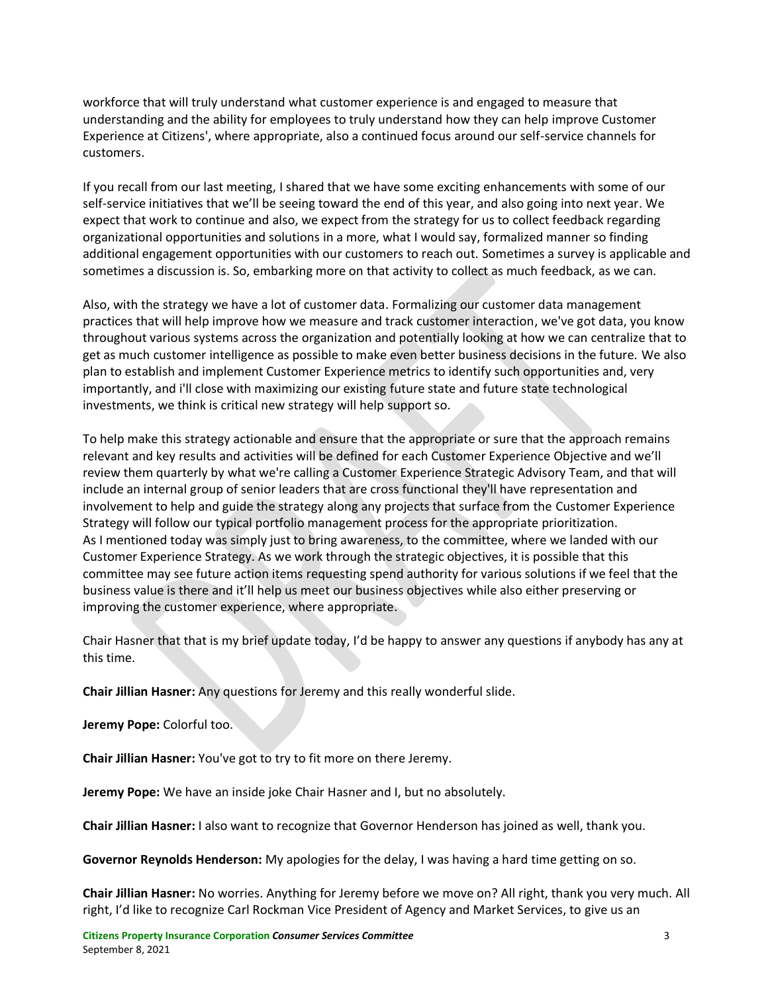workforce that will truly understand what customer experience is and engaged to measure that understanding and the ability for employees to truly understand how they can help improve Customer Experience at Citizens', where appropriate, also a continued focus around our self-service channels for customers.

If you recall from our last meeting, I shared that we have some exciting enhancements with some of our self-service initiatives that we'll be seeing toward the end of this year, and also going into next year. We expect that work to continue and also, we expect from the strategy for us to collect feedback regarding organizational opportunities and solutions in a more, what I would say, formalized manner so finding additional engagement opportunities with our customers to reach out. Sometimes a survey is applicable and sometimes a discussion is. So, embarking more on that activity to collect as much feedback, as we can.

Also, with the strategy we have a lot of customer data. Formalizing our customer data management practices that will help improve how we measure and track customer interaction, we've got data, you know throughout various systems across the organization and potentially looking at how we can centralize that to get as much customer intelligence as possible to make even better business decisions in the future. We also plan to establish and implement Customer Experience metrics to identify such opportunities and, very importantly, and i'll close with maximizing our existing future state and future state technological investments, we think is critical new strategy will help support so.

To help make this strategy actionable and ensure that the appropriate or sure that the approach remains relevant and key results and activities will be defined for each Customer Experience Objective and we'll review them quarterly by what we're calling a Customer Experience Strategic Advisory Team, and that will include an internal group of senior leaders that are cross functional they'll have representation and involvement to help and guide the strategy along any projects that surface from the Customer Experience Strategy will follow our typical portfolio management process for the appropriate prioritization. As I mentioned today was simply just to bring awareness, to the committee, where we landed with our Customer Experience Strategy. As we work through the strategic objectives, it is possible that this committee may see future action items requesting spend authority for various solutions if we feel that the business value is there and it'll help us meet our business objectives while also either preserving or improving the customer experience, where appropriate.

Chair Hasner that that is my brief update today, I'd be happy to answer any questions if anybody has any at this time.

**Chair Jillian Hasner:** Any questions for Jeremy and this really wonderful slide.

**Jeremy Pope:** Colorful too.

**Chair Jillian Hasner:** You've got to try to fit more on there Jeremy.

**Jeremy Pope:** We have an inside joke Chair Hasner and I, but no absolutely.

**Chair Jillian Hasner:** I also want to recognize that Governor Henderson has joined as well, thank you.

**Governor Reynolds Henderson:** My apologies for the delay, I was having a hard time getting on so.

**Chair Jillian Hasner:** No worries. Anything for Jeremy before we move on? All right, thank you very much. All right, I'd like to recognize Carl Rockman Vice President of Agency and Market Services, to give us an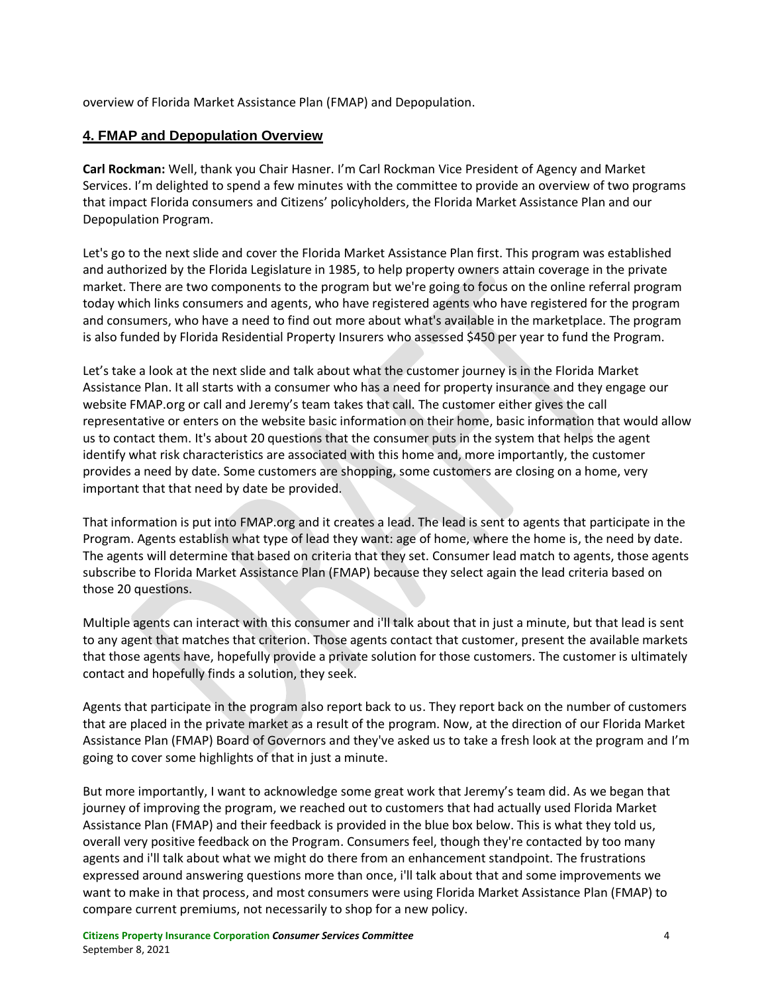overview of Florida Market Assistance Plan (FMAP) and Depopulation.

# **4. FMAP and Depopulation Overview**

**Carl Rockman:** Well, thank you Chair Hasner. I'm Carl Rockman Vice President of Agency and Market Services. I'm delighted to spend a few minutes with the committee to provide an overview of two programs that impact Florida consumers and Citizens' policyholders, the Florida Market Assistance Plan and our Depopulation Program.

Let's go to the next slide and cover the Florida Market Assistance Plan first. This program was established and authorized by the Florida Legislature in 1985, to help property owners attain coverage in the private market. There are two components to the program but we're going to focus on the online referral program today which links consumers and agents, who have registered agents who have registered for the program and consumers, who have a need to find out more about what's available in the marketplace. The program is also funded by Florida Residential Property Insurers who assessed \$450 per year to fund the Program.

Let's take a look at the next slide and talk about what the customer journey is in the Florida Market Assistance Plan. It all starts with a consumer who has a need for property insurance and they engage our website FMAP.org or call and Jeremy's team takes that call. The customer either gives the call representative or enters on the website basic information on their home, basic information that would allow us to contact them. It's about 20 questions that the consumer puts in the system that helps the agent identify what risk characteristics are associated with this home and, more importantly, the customer provides a need by date. Some customers are shopping, some customers are closing on a home, very important that that need by date be provided.

That information is put into FMAP.org and it creates a lead. The lead is sent to agents that participate in the Program. Agents establish what type of lead they want: age of home, where the home is, the need by date. The agents will determine that based on criteria that they set. Consumer lead match to agents, those agents subscribe to Florida Market Assistance Plan (FMAP) because they select again the lead criteria based on those 20 questions.

Multiple agents can interact with this consumer and i'll talk about that in just a minute, but that lead is sent to any agent that matches that criterion. Those agents contact that customer, present the available markets that those agents have, hopefully provide a private solution for those customers. The customer is ultimately contact and hopefully finds a solution, they seek.

Agents that participate in the program also report back to us. They report back on the number of customers that are placed in the private market as a result of the program. Now, at the direction of our Florida Market Assistance Plan (FMAP) Board of Governors and they've asked us to take a fresh look at the program and I'm going to cover some highlights of that in just a minute.

But more importantly, I want to acknowledge some great work that Jeremy's team did. As we began that journey of improving the program, we reached out to customers that had actually used Florida Market Assistance Plan (FMAP) and their feedback is provided in the blue box below. This is what they told us, overall very positive feedback on the Program. Consumers feel, though they're contacted by too many agents and i'll talk about what we might do there from an enhancement standpoint. The frustrations expressed around answering questions more than once, i'll talk about that and some improvements we want to make in that process, and most consumers were using Florida Market Assistance Plan (FMAP) to compare current premiums, not necessarily to shop for a new policy.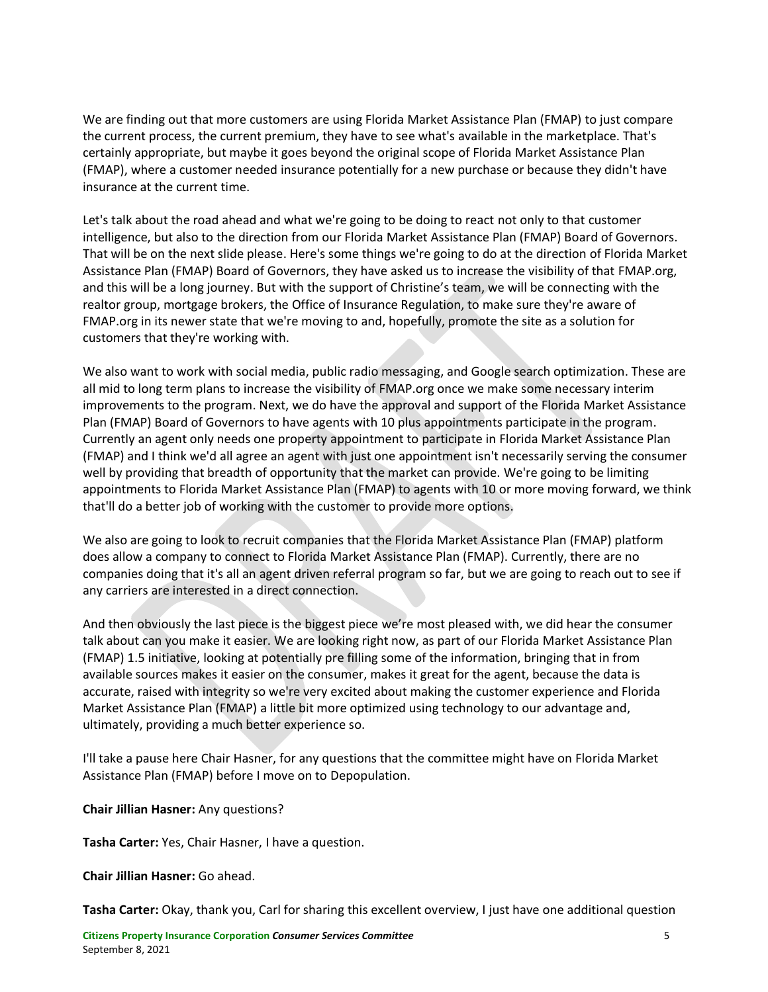We are finding out that more customers are using Florida Market Assistance Plan (FMAP) to just compare the current process, the current premium, they have to see what's available in the marketplace. That's certainly appropriate, but maybe it goes beyond the original scope of Florida Market Assistance Plan (FMAP), where a customer needed insurance potentially for a new purchase or because they didn't have insurance at the current time.

Let's talk about the road ahead and what we're going to be doing to react not only to that customer intelligence, but also to the direction from our Florida Market Assistance Plan (FMAP) Board of Governors. That will be on the next slide please. Here's some things we're going to do at the direction of Florida Market Assistance Plan (FMAP) Board of Governors, they have asked us to increase the visibility of that FMAP.org, and this will be a long journey. But with the support of Christine's team, we will be connecting with the realtor group, mortgage brokers, the Office of Insurance Regulation, to make sure they're aware of FMAP.org in its newer state that we're moving to and, hopefully, promote the site as a solution for customers that they're working with.

We also want to work with social media, public radio messaging, and Google search optimization. These are all mid to long term plans to increase the visibility of FMAP.org once we make some necessary interim improvements to the program. Next, we do have the approval and support of the Florida Market Assistance Plan (FMAP) Board of Governors to have agents with 10 plus appointments participate in the program. Currently an agent only needs one property appointment to participate in Florida Market Assistance Plan (FMAP) and I think we'd all agree an agent with just one appointment isn't necessarily serving the consumer well by providing that breadth of opportunity that the market can provide. We're going to be limiting appointments to Florida Market Assistance Plan (FMAP) to agents with 10 or more moving forward, we think that'll do a better job of working with the customer to provide more options.

We also are going to look to recruit companies that the Florida Market Assistance Plan (FMAP) platform does allow a company to connect to Florida Market Assistance Plan (FMAP). Currently, there are no companies doing that it's all an agent driven referral program so far, but we are going to reach out to see if any carriers are interested in a direct connection.

And then obviously the last piece is the biggest piece we're most pleased with, we did hear the consumer talk about can you make it easier. We are looking right now, as part of our Florida Market Assistance Plan (FMAP) 1.5 initiative, looking at potentially pre filling some of the information, bringing that in from available sources makes it easier on the consumer, makes it great for the agent, because the data is accurate, raised with integrity so we're very excited about making the customer experience and Florida Market Assistance Plan (FMAP) a little bit more optimized using technology to our advantage and, ultimately, providing a much better experience so.

I'll take a pause here Chair Hasner, for any questions that the committee might have on Florida Market Assistance Plan (FMAP) before I move on to Depopulation.

### **Chair Jillian Hasner:** Any questions?

**Tasha Carter:** Yes, Chair Hasner, I have a question.

**Chair Jillian Hasner:** Go ahead.

**Tasha Carter:** Okay, thank you, Carl for sharing this excellent overview, I just have one additional question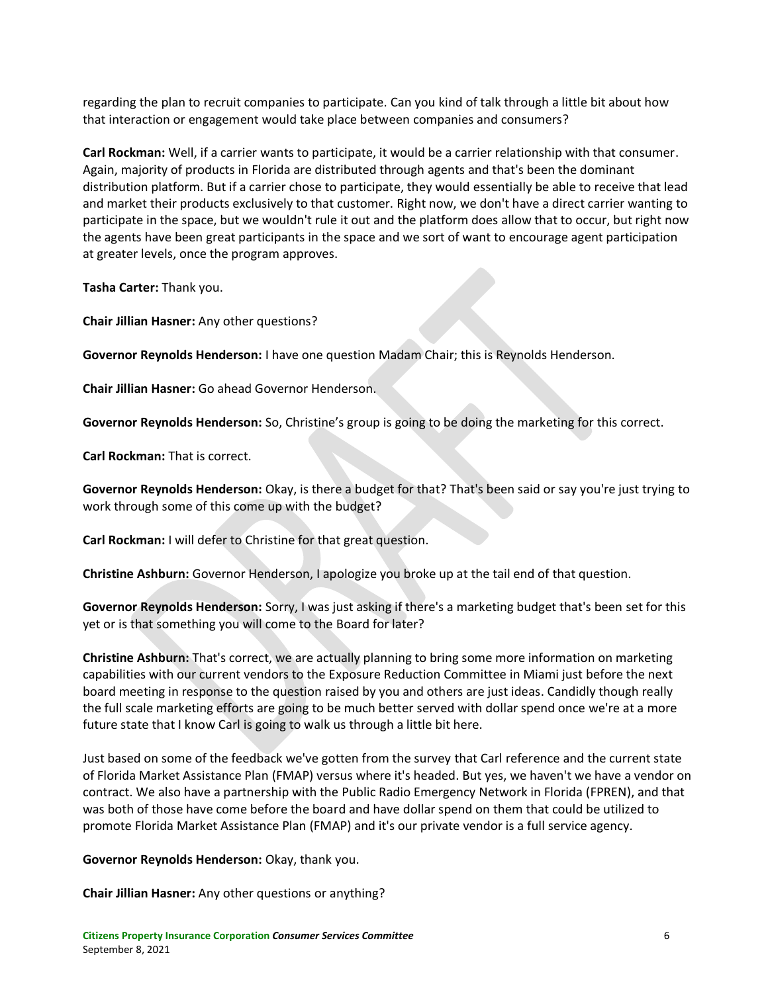regarding the plan to recruit companies to participate. Can you kind of talk through a little bit about how that interaction or engagement would take place between companies and consumers?

**Carl Rockman:** Well, if a carrier wants to participate, it would be a carrier relationship with that consumer. Again, majority of products in Florida are distributed through agents and that's been the dominant distribution platform. But if a carrier chose to participate, they would essentially be able to receive that lead and market their products exclusively to that customer. Right now, we don't have a direct carrier wanting to participate in the space, but we wouldn't rule it out and the platform does allow that to occur, but right now the agents have been great participants in the space and we sort of want to encourage agent participation at greater levels, once the program approves.

**Tasha Carter:** Thank you.

**Chair Jillian Hasner:** Any other questions?

**Governor Reynolds Henderson:** I have one question Madam Chair; this is Reynolds Henderson.

**Chair Jillian Hasner:** Go ahead Governor Henderson.

**Governor Reynolds Henderson:** So, Christine's group is going to be doing the marketing for this correct.

**Carl Rockman:** That is correct.

**Governor Reynolds Henderson:** Okay, is there a budget for that? That's been said or say you're just trying to work through some of this come up with the budget?

**Carl Rockman:** I will defer to Christine for that great question.

**Christine Ashburn:** Governor Henderson, I apologize you broke up at the tail end of that question.

**Governor Reynolds Henderson:** Sorry, I was just asking if there's a marketing budget that's been set for this yet or is that something you will come to the Board for later?

**Christine Ashburn:** That's correct, we are actually planning to bring some more information on marketing capabilities with our current vendors to the Exposure Reduction Committee in Miami just before the next board meeting in response to the question raised by you and others are just ideas. Candidly though really the full scale marketing efforts are going to be much better served with dollar spend once we're at a more future state that I know Carl is going to walk us through a little bit here.

Just based on some of the feedback we've gotten from the survey that Carl reference and the current state of Florida Market Assistance Plan (FMAP) versus where it's headed. But yes, we haven't we have a vendor on contract. We also have a partnership with the Public Radio Emergency Network in Florida (FPREN), and that was both of those have come before the board and have dollar spend on them that could be utilized to promote Florida Market Assistance Plan (FMAP) and it's our private vendor is a full service agency.

**Governor Reynolds Henderson:** Okay, thank you.

**Chair Jillian Hasner:** Any other questions or anything?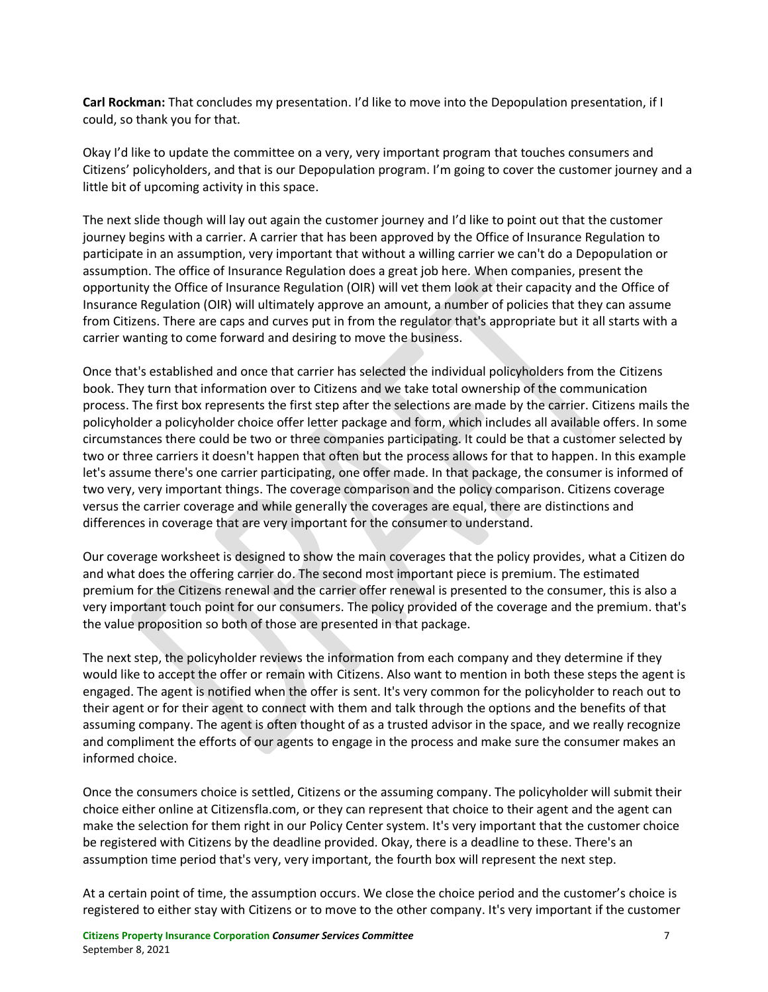**Carl Rockman:** That concludes my presentation. I'd like to move into the Depopulation presentation, if I could, so thank you for that.

Okay I'd like to update the committee on a very, very important program that touches consumers and Citizens' policyholders, and that is our Depopulation program. I'm going to cover the customer journey and a little bit of upcoming activity in this space.

The next slide though will lay out again the customer journey and I'd like to point out that the customer journey begins with a carrier. A carrier that has been approved by the Office of Insurance Regulation to participate in an assumption, very important that without a willing carrier we can't do a Depopulation or assumption. The office of Insurance Regulation does a great job here. When companies, present the opportunity the Office of Insurance Regulation (OIR) will vet them look at their capacity and the Office of Insurance Regulation (OIR) will ultimately approve an amount, a number of policies that they can assume from Citizens. There are caps and curves put in from the regulator that's appropriate but it all starts with a carrier wanting to come forward and desiring to move the business.

Once that's established and once that carrier has selected the individual policyholders from the Citizens book. They turn that information over to Citizens and we take total ownership of the communication process. The first box represents the first step after the selections are made by the carrier. Citizens mails the policyholder a policyholder choice offer letter package and form, which includes all available offers. In some circumstances there could be two or three companies participating. It could be that a customer selected by two or three carriers it doesn't happen that often but the process allows for that to happen. In this example let's assume there's one carrier participating, one offer made. In that package, the consumer is informed of two very, very important things. The coverage comparison and the policy comparison. Citizens coverage versus the carrier coverage and while generally the coverages are equal, there are distinctions and differences in coverage that are very important for the consumer to understand.

Our coverage worksheet is designed to show the main coverages that the policy provides, what a Citizen do and what does the offering carrier do. The second most important piece is premium. The estimated premium for the Citizens renewal and the carrier offer renewal is presented to the consumer, this is also a very important touch point for our consumers. The policy provided of the coverage and the premium. that's the value proposition so both of those are presented in that package.

The next step, the policyholder reviews the information from each company and they determine if they would like to accept the offer or remain with Citizens. Also want to mention in both these steps the agent is engaged. The agent is notified when the offer is sent. It's very common for the policyholder to reach out to their agent or for their agent to connect with them and talk through the options and the benefits of that assuming company. The agent is often thought of as a trusted advisor in the space, and we really recognize and compliment the efforts of our agents to engage in the process and make sure the consumer makes an informed choice.

Once the consumers choice is settled, Citizens or the assuming company. The policyholder will submit their choice either online at Citizensfla.com, or they can represent that choice to their agent and the agent can make the selection for them right in our Policy Center system. It's very important that the customer choice be registered with Citizens by the deadline provided. Okay, there is a deadline to these. There's an assumption time period that's very, very important, the fourth box will represent the next step.

At a certain point of time, the assumption occurs. We close the choice period and the customer's choice is registered to either stay with Citizens or to move to the other company. It's very important if the customer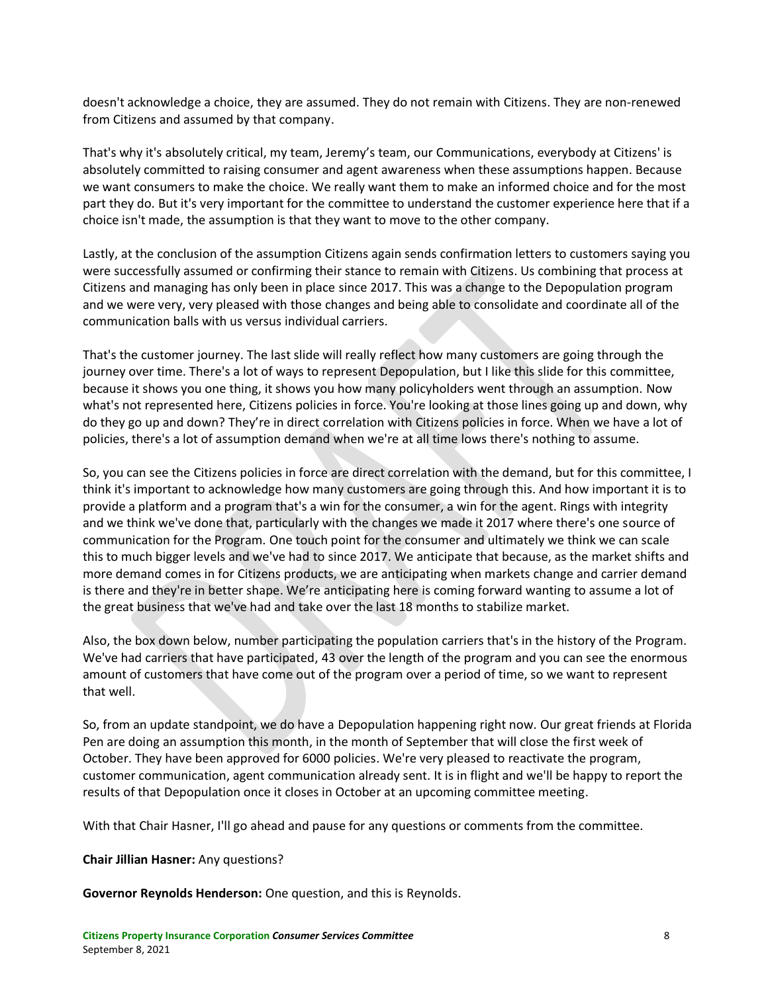doesn't acknowledge a choice, they are assumed. They do not remain with Citizens. They are non-renewed from Citizens and assumed by that company.

That's why it's absolutely critical, my team, Jeremy's team, our Communications, everybody at Citizens' is absolutely committed to raising consumer and agent awareness when these assumptions happen. Because we want consumers to make the choice. We really want them to make an informed choice and for the most part they do. But it's very important for the committee to understand the customer experience here that if a choice isn't made, the assumption is that they want to move to the other company.

Lastly, at the conclusion of the assumption Citizens again sends confirmation letters to customers saying you were successfully assumed or confirming their stance to remain with Citizens. Us combining that process at Citizens and managing has only been in place since 2017. This was a change to the Depopulation program and we were very, very pleased with those changes and being able to consolidate and coordinate all of the communication balls with us versus individual carriers.

That's the customer journey. The last slide will really reflect how many customers are going through the journey over time. There's a lot of ways to represent Depopulation, but I like this slide for this committee, because it shows you one thing, it shows you how many policyholders went through an assumption. Now what's not represented here, Citizens policies in force. You're looking at those lines going up and down, why do they go up and down? They're in direct correlation with Citizens policies in force. When we have a lot of policies, there's a lot of assumption demand when we're at all time lows there's nothing to assume.

So, you can see the Citizens policies in force are direct correlation with the demand, but for this committee, I think it's important to acknowledge how many customers are going through this. And how important it is to provide a platform and a program that's a win for the consumer, a win for the agent. Rings with integrity and we think we've done that, particularly with the changes we made it 2017 where there's one source of communication for the Program. One touch point for the consumer and ultimately we think we can scale this to much bigger levels and we've had to since 2017. We anticipate that because, as the market shifts and more demand comes in for Citizens products, we are anticipating when markets change and carrier demand is there and they're in better shape. We're anticipating here is coming forward wanting to assume a lot of the great business that we've had and take over the last 18 months to stabilize market.

Also, the box down below, number participating the population carriers that's in the history of the Program. We've had carriers that have participated, 43 over the length of the program and you can see the enormous amount of customers that have come out of the program over a period of time, so we want to represent that well.

So, from an update standpoint, we do have a Depopulation happening right now. Our great friends at Florida Pen are doing an assumption this month, in the month of September that will close the first week of October. They have been approved for 6000 policies. We're very pleased to reactivate the program, customer communication, agent communication already sent. It is in flight and we'll be happy to report the results of that Depopulation once it closes in October at an upcoming committee meeting.

With that Chair Hasner, I'll go ahead and pause for any questions or comments from the committee.

### **Chair Jillian Hasner:** Any questions?

**Governor Reynolds Henderson:** One question, and this is Reynolds.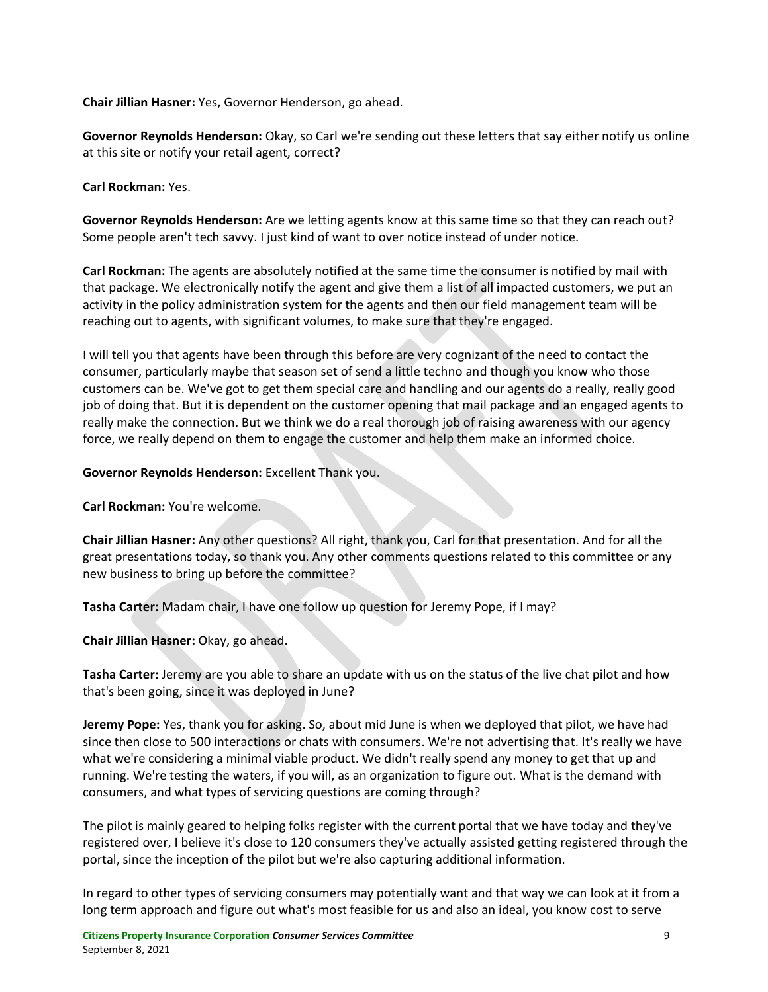**Chair Jillian Hasner:** Yes, Governor Henderson, go ahead.

**Governor Reynolds Henderson:** Okay, so Carl we're sending out these letters that say either notify us online at this site or notify your retail agent, correct?

**Carl Rockman:** Yes.

**Governor Reynolds Henderson:** Are we letting agents know at this same time so that they can reach out? Some people aren't tech savvy. I just kind of want to over notice instead of under notice.

**Carl Rockman:** The agents are absolutely notified at the same time the consumer is notified by mail with that package. We electronically notify the agent and give them a list of all impacted customers, we put an activity in the policy administration system for the agents and then our field management team will be reaching out to agents, with significant volumes, to make sure that they're engaged.

I will tell you that agents have been through this before are very cognizant of the need to contact the consumer, particularly maybe that season set of send a little techno and though you know who those customers can be. We've got to get them special care and handling and our agents do a really, really good job of doing that. But it is dependent on the customer opening that mail package and an engaged agents to really make the connection. But we think we do a real thorough job of raising awareness with our agency force, we really depend on them to engage the customer and help them make an informed choice.

## **Governor Reynolds Henderson:** Excellent Thank you.

**Carl Rockman:** You're welcome.

**Chair Jillian Hasner:** Any other questions? All right, thank you, Carl for that presentation. And for all the great presentations today, so thank you. Any other comments questions related to this committee or any new business to bring up before the committee?

**Tasha Carter:** Madam chair, I have one follow up question for Jeremy Pope, if I may?

**Chair Jillian Hasner:** Okay, go ahead.

**Tasha Carter:** Jeremy are you able to share an update with us on the status of the live chat pilot and how that's been going, since it was deployed in June?

**Jeremy Pope:** Yes, thank you for asking. So, about mid June is when we deployed that pilot, we have had since then close to 500 interactions or chats with consumers. We're not advertising that. It's really we have what we're considering a minimal viable product. We didn't really spend any money to get that up and running. We're testing the waters, if you will, as an organization to figure out. What is the demand with consumers, and what types of servicing questions are coming through?

The pilot is mainly geared to helping folks register with the current portal that we have today and they've registered over, I believe it's close to 120 consumers they've actually assisted getting registered through the portal, since the inception of the pilot but we're also capturing additional information.

In regard to other types of servicing consumers may potentially want and that way we can look at it from a long term approach and figure out what's most feasible for us and also an ideal, you know cost to serve